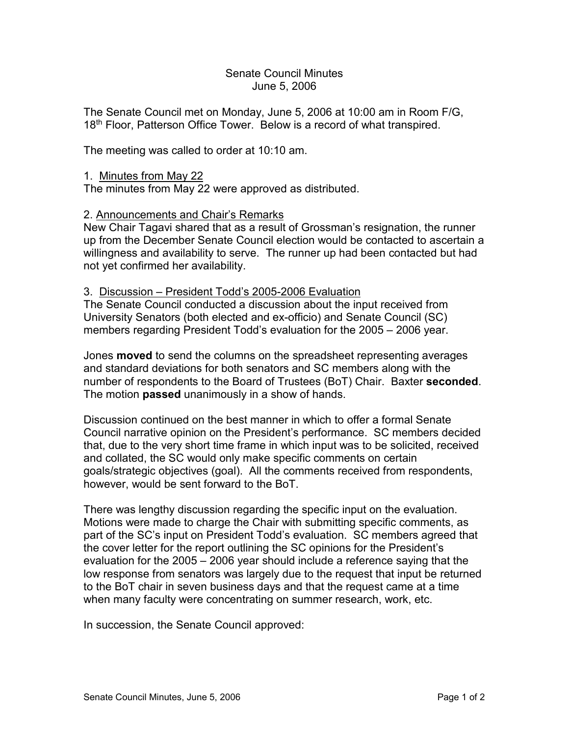## Senate Council Minutes June 5, 2006

The Senate Council met on Monday, June 5, 2006 at 10:00 am in Room F/G, 18<sup>th</sup> Floor, Patterson Office Tower. Below is a record of what transpired.

The meeting was called to order at 10:10 am.

## 1. Minutes from May 22

The minutes from May 22 were approved as distributed.

## 2. Announcements and Chair's Remarks

New Chair Tagavi shared that as a result of Grossman's resignation, the runner up from the December Senate Council election would be contacted to ascertain a willingness and availability to serve. The runner up had been contacted but had not yet confirmed her availability.

## 3. Discussion – President Todd's 2005-2006 Evaluation

The Senate Council conducted a discussion about the input received from University Senators (both elected and ex-officio) and Senate Council (SC) members regarding President Todd's evaluation for the 2005 – 2006 year.

Jones **moved** to send the columns on the spreadsheet representing averages and standard deviations for both senators and SC members along with the number of respondents to the Board of Trustees (BoT) Chair. Baxter **seconded**. The motion **passed** unanimously in a show of hands.

Discussion continued on the best manner in which to offer a formal Senate Council narrative opinion on the President's performance. SC members decided that, due to the very short time frame in which input was to be solicited, received and collated, the SC would only make specific comments on certain goals/strategic objectives (goal). All the comments received from respondents, however, would be sent forward to the BoT.

There was lengthy discussion regarding the specific input on the evaluation. Motions were made to charge the Chair with submitting specific comments, as part of the SC's input on President Todd's evaluation. SC members agreed that the cover letter for the report outlining the SC opinions for the President's evaluation for the 2005 – 2006 year should include a reference saying that the low response from senators was largely due to the request that input be returned to the BoT chair in seven business days and that the request came at a time when many faculty were concentrating on summer research, work, etc.

In succession, the Senate Council approved: